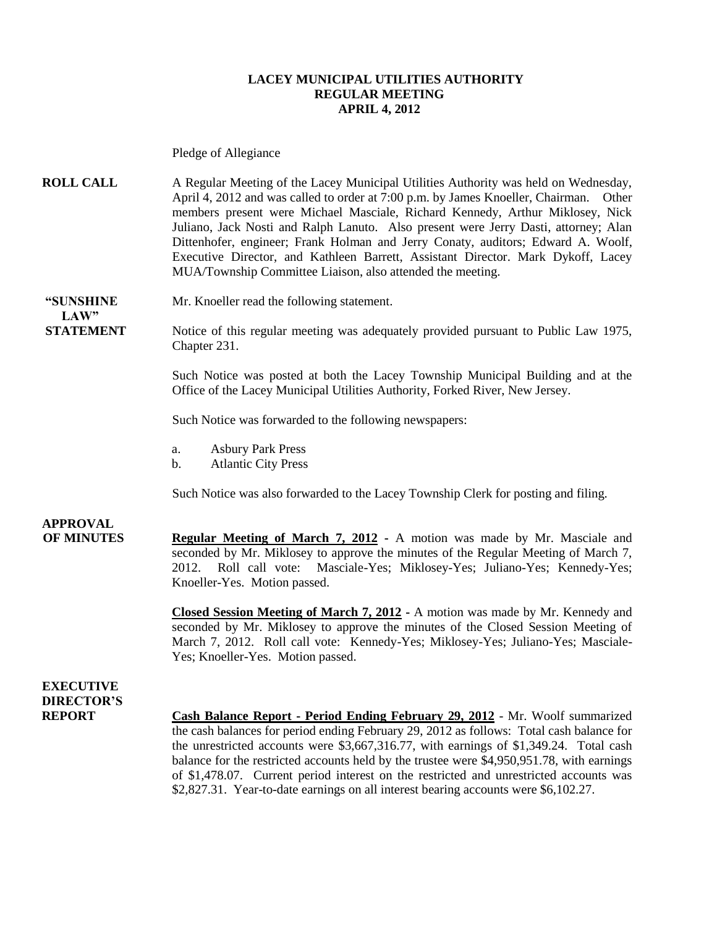#### **LACEY MUNICIPAL UTILITIES AUTHORITY REGULAR MEETING APRIL 4, 2012**

Pledge of Allegiance

**ROLL CALL** A Regular Meeting of the Lacey Municipal Utilities Authority was held on Wednesday, April 4, 2012 and was called to order at 7:00 p.m. by James Knoeller, Chairman. Other members present were Michael Masciale, Richard Kennedy, Arthur Miklosey, Nick Juliano, Jack Nosti and Ralph Lanuto. Also present were Jerry Dasti, attorney; Alan Dittenhofer, engineer; Frank Holman and Jerry Conaty, auditors; Edward A. Woolf, Executive Director, and Kathleen Barrett, Assistant Director. Mark Dykoff, Lacey MUA/Township Committee Liaison, also attended the meeting.

 $LAW"$ 

**"SUNSHINE** Mr. Knoeller read the following statement.

**STATEMENT** Notice of this regular meeting was adequately provided pursuant to Public Law 1975, Chapter 231.

> Such Notice was posted at both the Lacey Township Municipal Building and at the Office of the Lacey Municipal Utilities Authority, Forked River, New Jersey.

Such Notice was forwarded to the following newspapers:

- a. Asbury Park Press
- b. Atlantic City Press

Such Notice was also forwarded to the Lacey Township Clerk for posting and filing.

## **APPROVAL**

**OF MINUTES Regular Meeting of March 7, 2012 -** A motion was made by Mr. Masciale and seconded by Mr. Miklosey to approve the minutes of the Regular Meeting of March 7, 2012. Roll call vote: Masciale-Yes; Miklosey-Yes; Juliano-Yes; Kennedy-Yes; Knoeller-Yes. Motion passed.

> **Closed Session Meeting of March 7, 2012 -** A motion was made by Mr. Kennedy and seconded by Mr. Miklosey to approve the minutes of the Closed Session Meeting of March 7, 2012. Roll call vote: Kennedy-Yes; Miklosey-Yes; Juliano-Yes; Masciale-Yes; Knoeller-Yes. Motion passed.

**EXECUTIVE DIRECTOR'S**

**REPORT Cash Balance Report - Period Ending February 29, 2012** - Mr. Woolf summarized the cash balances for period ending February 29, 2012 as follows: Total cash balance for the unrestricted accounts were \$3,667,316.77, with earnings of \$1,349.24. Total cash balance for the restricted accounts held by the trustee were \$4,950,951.78, with earnings of \$1,478.07. Current period interest on the restricted and unrestricted accounts was \$2,827.31. Year-to-date earnings on all interest bearing accounts were \$6,102.27.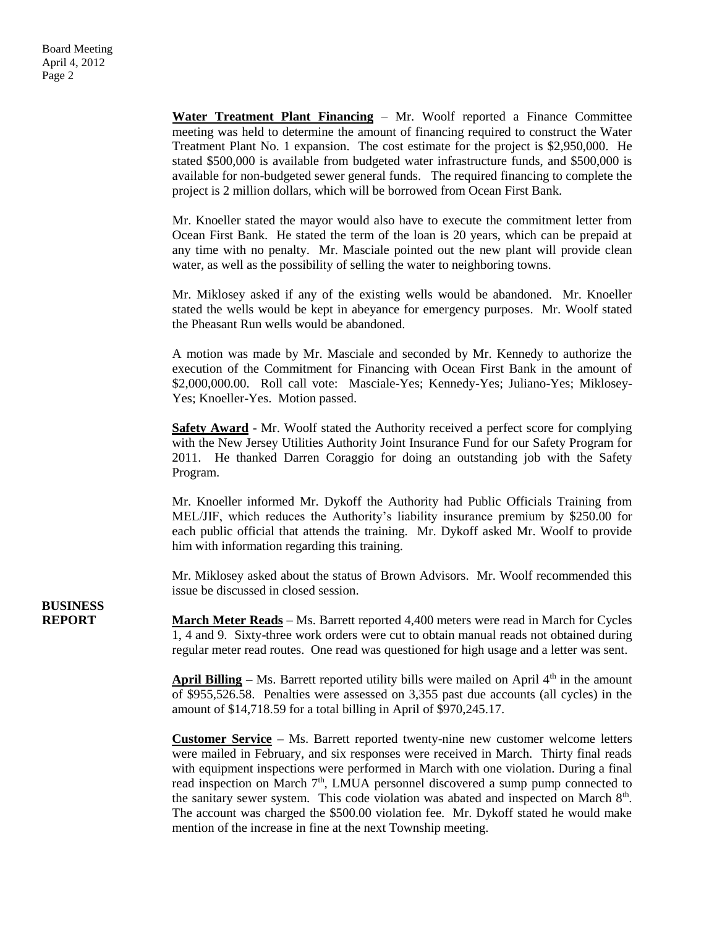**Water Treatment Plant Financing** – Mr. Woolf reported a Finance Committee meeting was held to determine the amount of financing required to construct the Water Treatment Plant No. 1 expansion. The cost estimate for the project is \$2,950,000. He stated \$500,000 is available from budgeted water infrastructure funds, and \$500,000 is available for non-budgeted sewer general funds. The required financing to complete the project is 2 million dollars, which will be borrowed from Ocean First Bank.

 Mr. Knoeller stated the mayor would also have to execute the commitment letter from Ocean First Bank. He stated the term of the loan is 20 years, which can be prepaid at any time with no penalty. Mr. Masciale pointed out the new plant will provide clean water, as well as the possibility of selling the water to neighboring towns.

Mr. Miklosey asked if any of the existing wells would be abandoned. Mr. Knoeller stated the wells would be kept in abeyance for emergency purposes. Mr. Woolf stated the Pheasant Run wells would be abandoned.

A motion was made by Mr. Masciale and seconded by Mr. Kennedy to authorize the execution of the Commitment for Financing with Ocean First Bank in the amount of \$2,000,000.00. Roll call vote: Masciale-Yes; Kennedy-Yes; Juliano-Yes; Miklosey-Yes; Knoeller-Yes. Motion passed.

**Safety Award** - Mr. Woolf stated the Authority received a perfect score for complying with the New Jersey Utilities Authority Joint Insurance Fund for our Safety Program for 2011. He thanked Darren Coraggio for doing an outstanding job with the Safety Program.

Mr. Knoeller informed Mr. Dykoff the Authority had Public Officials Training from MEL/JIF, which reduces the Authority's liability insurance premium by \$250.00 for each public official that attends the training. Mr. Dykoff asked Mr. Woolf to provide him with information regarding this training.

Mr. Miklosey asked about the status of Brown Advisors. Mr. Woolf recommended this issue be discussed in closed session.

**BUSINESS**

**REPORT March Meter Reads** – Ms. Barrett reported 4,400 meters were read in March for Cycles 1, 4 and 9. Sixty-three work orders were cut to obtain manual reads not obtained during regular meter read routes. One read was questioned for high usage and a letter was sent.

> **April Billing** – Ms. Barrett reported utility bills were mailed on April  $4<sup>th</sup>$  in the amount of \$955,526.58. Penalties were assessed on 3,355 past due accounts (all cycles) in the amount of \$14,718.59 for a total billing in April of \$970,245.17.

> **Customer Service –** Ms. Barrett reported twenty-nine new customer welcome letters were mailed in February, and six responses were received in March. Thirty final reads with equipment inspections were performed in March with one violation. During a final read inspection on March 7<sup>th</sup>, LMUA personnel discovered a sump pump connected to the sanitary sewer system. This code violation was abated and inspected on March  $8<sup>th</sup>$ . The account was charged the \$500.00 violation fee. Mr. Dykoff stated he would make mention of the increase in fine at the next Township meeting.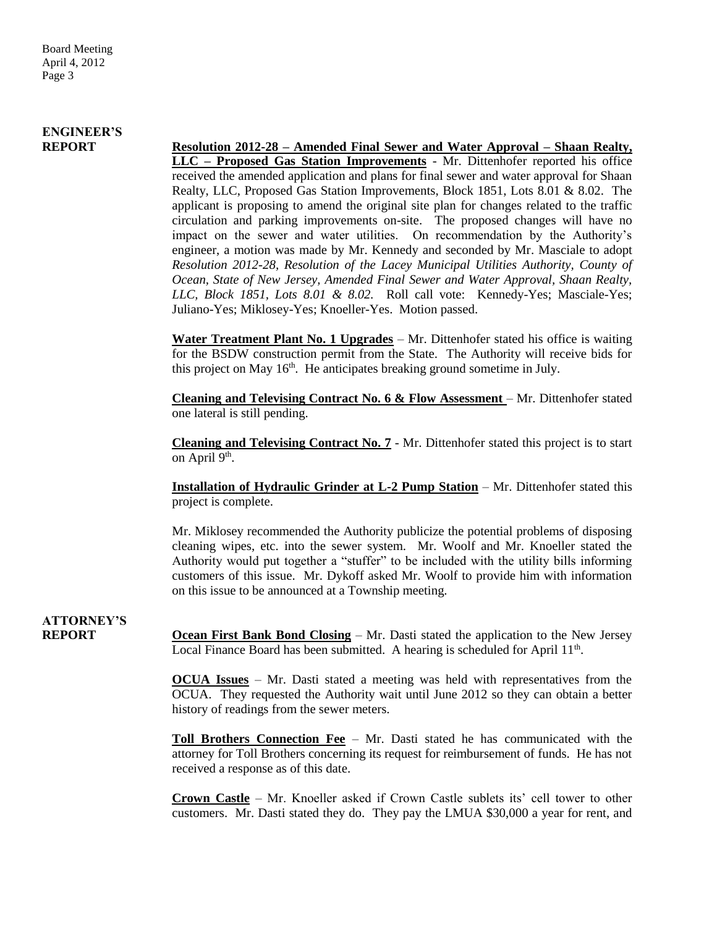# **ENGINEER'S**

**REPORT Resolution 2012-28 – Amended Final Sewer and Water Approval – Shaan Realty, LLC – Proposed Gas Station Improvements** - Mr. Dittenhofer reported his office received the amended application and plans for final sewer and water approval for Shaan Realty, LLC, Proposed Gas Station Improvements, Block 1851, Lots 8.01 & 8.02. The applicant is proposing to amend the original site plan for changes related to the traffic circulation and parking improvements on-site. The proposed changes will have no impact on the sewer and water utilities. On recommendation by the Authority's engineer, a motion was made by Mr. Kennedy and seconded by Mr. Masciale to adopt *Resolution 2012-28, Resolution of the Lacey Municipal Utilities Authority, County of Ocean, State of New Jersey, Amended Final Sewer and Water Approval, Shaan Realty, LLC, Block 1851, Lots 8.01 & 8.02.* Roll call vote: Kennedy-Yes; Masciale-Yes; Juliano-Yes; Miklosey-Yes; Knoeller-Yes. Motion passed.

> **Water Treatment Plant No. 1 Upgrades** – Mr. Dittenhofer stated his office is waiting for the BSDW construction permit from the State. The Authority will receive bids for this project on May 16<sup>th</sup>. He anticipates breaking ground sometime in July.

> **Cleaning and Televising Contract No. 6 & Flow Assessment** – Mr. Dittenhofer stated one lateral is still pending.

> **Cleaning and Televising Contract No. 7** - Mr. Dittenhofer stated this project is to start on April 9<sup>th</sup>.

> **Installation of Hydraulic Grinder at L-2 Pump Station** – Mr. Dittenhofer stated this project is complete.

> Mr. Miklosey recommended the Authority publicize the potential problems of disposing cleaning wipes, etc. into the sewer system. Mr. Woolf and Mr. Knoeller stated the Authority would put together a "stuffer" to be included with the utility bills informing customers of this issue. Mr. Dykoff asked Mr. Woolf to provide him with information on this issue to be announced at a Township meeting.

# **ATTORNEY'S**

**REPORT Ocean First Bank Bond Closing** – Mr. Dasti stated the application to the New Jersey Local Finance Board has been submitted. A hearing is scheduled for April  $11<sup>th</sup>$ .

> **OCUA Issues** – Mr. Dasti stated a meeting was held with representatives from the OCUA. They requested the Authority wait until June 2012 so they can obtain a better history of readings from the sewer meters.

> **Toll Brothers Connection Fee** – Mr. Dasti stated he has communicated with the attorney for Toll Brothers concerning its request for reimbursement of funds. He has not received a response as of this date.

> **Crown Castle** – Mr. Knoeller asked if Crown Castle sublets its' cell tower to other customers. Mr. Dasti stated they do. They pay the LMUA \$30,000 a year for rent, and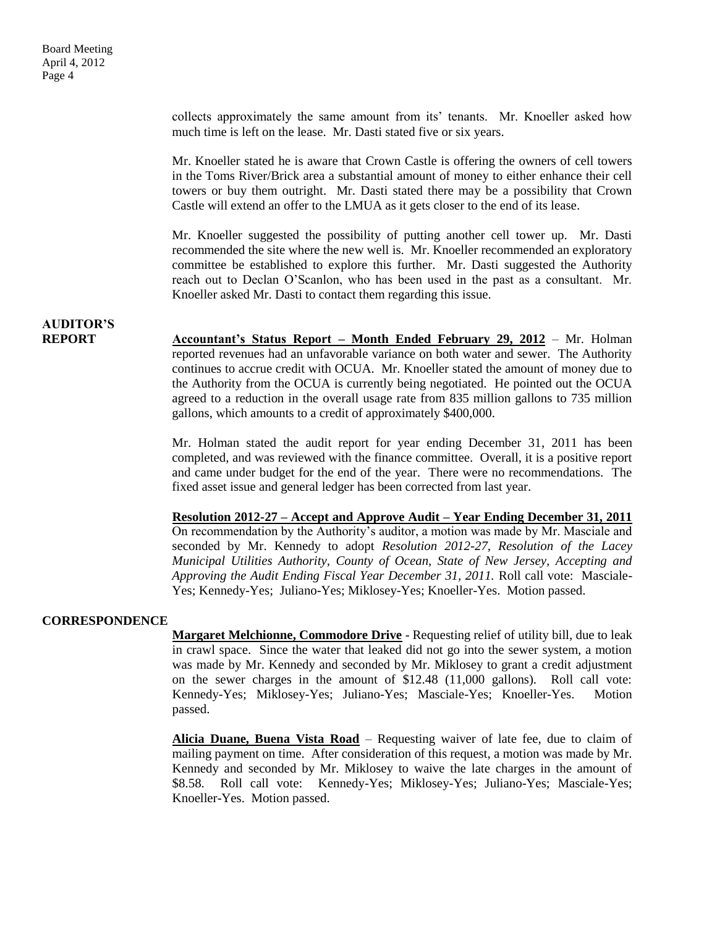collects approximately the same amount from its' tenants. Mr. Knoeller asked how much time is left on the lease. Mr. Dasti stated five or six years.

Mr. Knoeller stated he is aware that Crown Castle is offering the owners of cell towers in the Toms River/Brick area a substantial amount of money to either enhance their cell towers or buy them outright. Mr. Dasti stated there may be a possibility that Crown Castle will extend an offer to the LMUA as it gets closer to the end of its lease.

Mr. Knoeller suggested the possibility of putting another cell tower up. Mr. Dasti recommended the site where the new well is. Mr. Knoeller recommended an exploratory committee be established to explore this further. Mr. Dasti suggested the Authority reach out to Declan O'Scanlon, who has been used in the past as a consultant. Mr. Knoeller asked Mr. Dasti to contact them regarding this issue.

### **AUDITOR'S**

**REPORT Accountant's Status Report – Month Ended February 29, 2012** – Mr. Holman reported revenues had an unfavorable variance on both water and sewer. The Authority continues to accrue credit with OCUA. Mr. Knoeller stated the amount of money due to the Authority from the OCUA is currently being negotiated. He pointed out the OCUA agreed to a reduction in the overall usage rate from 835 million gallons to 735 million gallons, which amounts to a credit of approximately \$400,000.

> Mr. Holman stated the audit report for year ending December 31, 2011 has been completed, and was reviewed with the finance committee. Overall, it is a positive report and came under budget for the end of the year. There were no recommendations. The fixed asset issue and general ledger has been corrected from last year.

> **Resolution 2012-27 – Accept and Approve Audit – Year Ending December 31, 2011** On recommendation by the Authority's auditor, a motion was made by Mr. Masciale and seconded by Mr. Kennedy to adopt *Resolution 2012-27, Resolution of the Lacey Municipal Utilities Authority, County of Ocean, State of New Jersey, Accepting and Approving the Audit Ending Fiscal Year December 31, 2011.* Roll call vote: Masciale-Yes; Kennedy-Yes; Juliano-Yes; Miklosey-Yes; Knoeller-Yes. Motion passed.

### **CORRESPONDENCE**

**Margaret Melchionne, Commodore Drive** - Requesting relief of utility bill, due to leak in crawl space. Since the water that leaked did not go into the sewer system, a motion was made by Mr. Kennedy and seconded by Mr. Miklosey to grant a credit adjustment on the sewer charges in the amount of \$12.48 (11,000 gallons). Roll call vote: Kennedy-Yes; Miklosey-Yes; Juliano-Yes; Masciale-Yes; Knoeller-Yes. Motion passed.

**Alicia Duane, Buena Vista Road** – Requesting waiver of late fee, due to claim of mailing payment on time. After consideration of this request, a motion was made by Mr. Kennedy and seconded by Mr. Miklosey to waive the late charges in the amount of \$8.58. Roll call vote: Kennedy-Yes; Miklosey-Yes; Juliano-Yes; Masciale-Yes; Knoeller-Yes. Motion passed.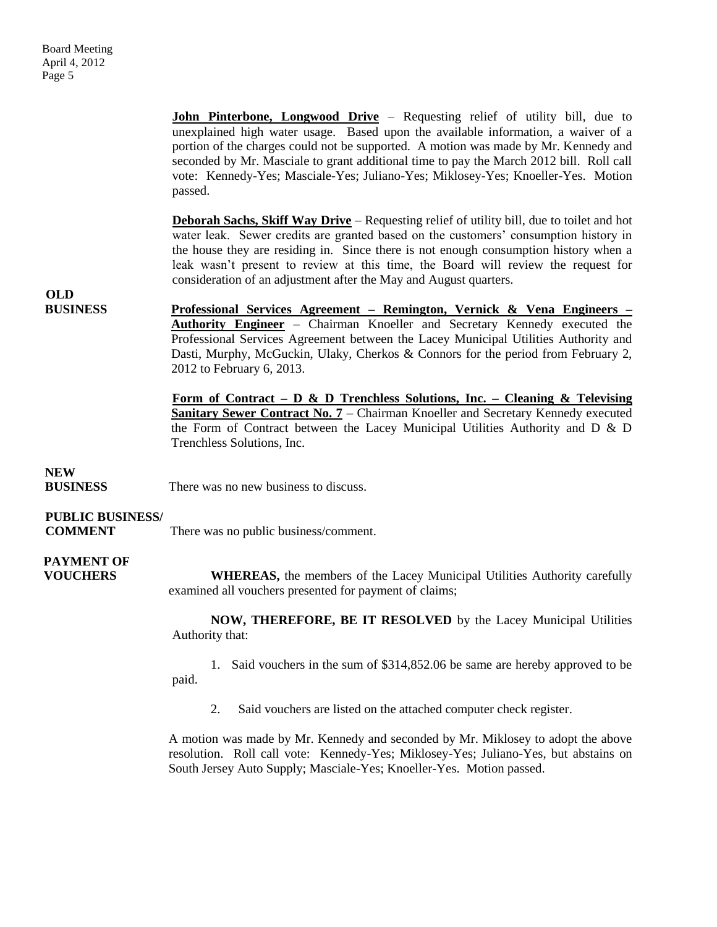**John Pinterbone, Longwood Drive** - Requesting relief of utility bill, due to unexplained high water usage. Based upon the available information, a waiver of a portion of the charges could not be supported. A motion was made by Mr. Kennedy and seconded by Mr. Masciale to grant additional time to pay the March 2012 bill. Roll call vote: Kennedy-Yes; Masciale-Yes; Juliano-Yes; Miklosey-Yes; Knoeller-Yes. Motion passed. **Deborah Sachs, Skiff Way Drive** – Requesting relief of utility bill, due to toilet and hot water leak. Sewer credits are granted based on the customers' consumption history in the house they are residing in. Since there is not enough consumption history when a leak wasn't present to review at this time, the Board will review the request for consideration of an adjustment after the May and August quarters. **OLD BUSINESS Professional Services Agreement – Remington, Vernick & Vena Engineers – Authority Engineer** – Chairman Knoeller and Secretary Kennedy executed the Professional Services Agreement between the Lacey Municipal Utilities Authority and Dasti, Murphy, McGuckin, Ulaky, Cherkos & Connors for the period from February 2, 2012 to February 6, 2013. **Form of Contract – D & D Trenchless Solutions, Inc. – Cleaning & Televising Sanitary Sewer Contract No. 7 – Chairman Knoeller and Secretary Kennedy executed** the Form of Contract between the Lacey Municipal Utilities Authority and D & D Trenchless Solutions, Inc. **NEW BUSINESS** There was no new business to discuss. **PUBLIC BUSINESS/ COMMENT** There was no public business/comment.  **PAYMENT OF VOUCHERS** WHEREAS, the members of the Lacey Municipal Utilities Authority carefully examined all vouchers presented for payment of claims; **NOW, THEREFORE, BE IT RESOLVED** by the Lacey Municipal Utilities Authority that: 1. Said vouchers in the sum of \$314,852.06 be same are hereby approved to be

paid.

2. Said vouchers are listed on the attached computer check register.

A motion was made by Mr. Kennedy and seconded by Mr. Miklosey to adopt the above resolution. Roll call vote: Kennedy-Yes; Miklosey-Yes; Juliano-Yes, but abstains on South Jersey Auto Supply; Masciale-Yes; Knoeller-Yes. Motion passed.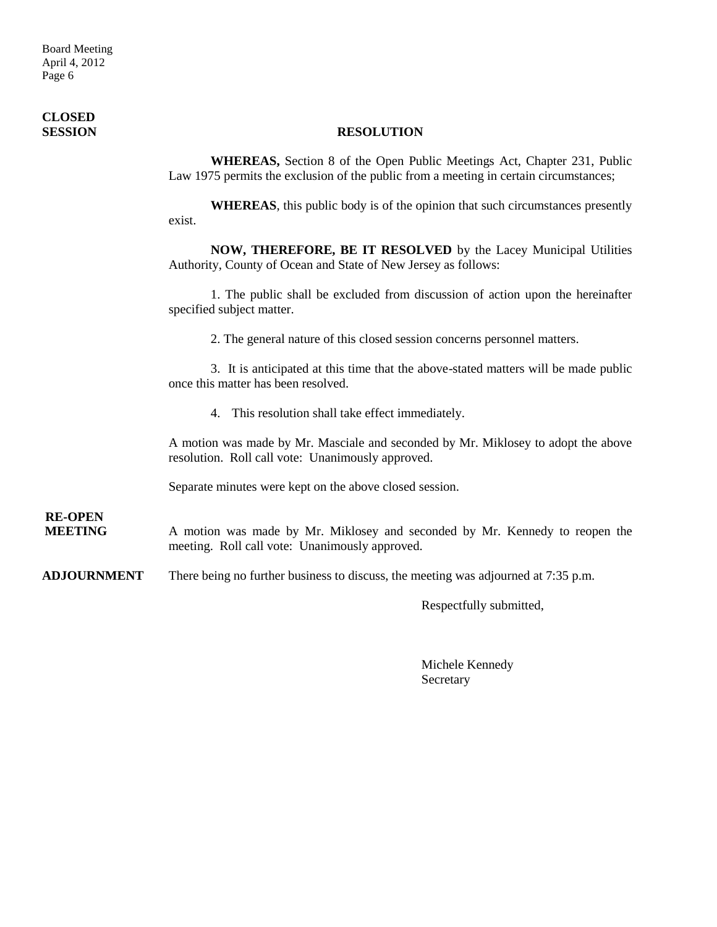Board Meeting April 4, 2012 Page 6

# **CLOSED**

### **SESSION RESOLUTION**

**WHEREAS,** Section 8 of the Open Public Meetings Act, Chapter 231, Public Law 1975 permits the exclusion of the public from a meeting in certain circumstances;

**WHEREAS**, this public body is of the opinion that such circumstances presently exist.

**NOW, THEREFORE, BE IT RESOLVED** by the Lacey Municipal Utilities Authority, County of Ocean and State of New Jersey as follows:

1. The public shall be excluded from discussion of action upon the hereinafter specified subject matter.

2. The general nature of this closed session concerns personnel matters.

3. It is anticipated at this time that the above-stated matters will be made public once this matter has been resolved.

4. This resolution shall take effect immediately.

A motion was made by Mr. Masciale and seconded by Mr. Miklosey to adopt the above resolution. Roll call vote: Unanimously approved.

Separate minutes were kept on the above closed session.

**RE-OPEN**

**MEETING** A motion was made by Mr. Miklosey and seconded by Mr. Kennedy to reopen the meeting. Roll call vote: Unanimously approved.

**ADJOURNMENT** There being no further business to discuss, the meeting was adjourned at 7:35 p.m.

Respectfully submitted,

Michele Kennedy Secretary